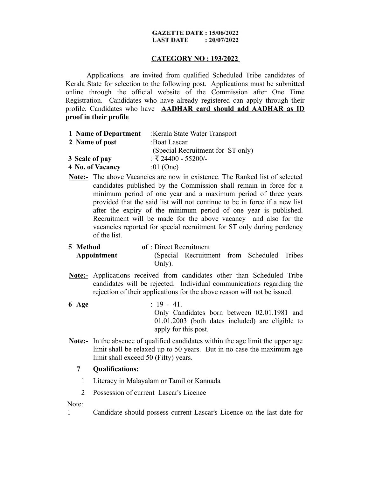### **GAZETTE DATE: 15/06/2022 LAST DATE**  $: 20/07/2022$

# **CATEGORY NO : 193/2022**

Applications are invited from qualified Scheduled Tribe candidates of Kerala State for selection to the following post. Applications must be submitted online through the official website of the Commission after One Time Registration. Candidates who have already registered can apply through their profile. Candidates who have **AADHAR card should add AADHAR as ID proof in their profile**

| 1 Name of Department | : Kerala State Water Transport    |
|----------------------|-----------------------------------|
| 2 Name of post       | : Boat Lascar                     |
|                      | (Special Recruitment for ST only) |
| 3 Scale of pay       | : ₹ 24400 - 55200/-               |
| 4 No. of Vacancy     | :01 (One)                         |

**Note:-** The above Vacancies are now in existence. The Ranked list of selected candidates published by the Commission shall remain in force for a minimum period of one year and a maximum period of three years provided that the said list will not continue to be in force if a new list after the expiry of the minimum period of one year is published. Recruitment will be made for the above vacancy and also for the vacancies reported for special recruitment for ST only during pendency of the list.

| 5 Method    | of: Direct Recruitment |                                             |  |  |  |  |
|-------------|------------------------|---------------------------------------------|--|--|--|--|
| Appointment |                        | (Special Recruitment from Scheduled Tribes) |  |  |  |  |
|             | Only).                 |                                             |  |  |  |  |

- **Note:-** Applications received from candidates other than Scheduled Tribe candidates will be rejected. Individual communications regarding the rejection of their applications for the above reason will not be issued.
- **6 Age** : 19 41. Only Candidates born between 02.01.1981 and 01.01.2003 (both dates included) are eligible to apply for this post.
- **Note:-** In the absence of qualified candidates within the age limit the upper age limit shall be relaxed up to 50 years. But in no case the maximum age limit shall exceed 50 (Fifty) years.

# **7 Qualifications:**

- 1 Literacy in Malayalam or Tamil or Kannada
- 2 Possession of current Lascar's Licence

Note:

1 Candidate should possess current Lascar's Licence on the last date for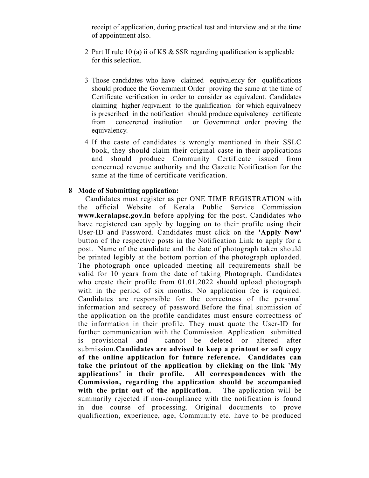receipt of application, during practical test and interview and at the time of appointment also.

- 2 Part II rule 10 (a) ii of KS & SSR regarding qualification is applicable for this selection.
- 3 Those candidates who have claimed equivalency for qualifications should produce the Government Order proving the same at the time of Certificate verification in order to consider as equivalent. Candidates claiming higher /eqivalent to the qualification for which equivalnecy is prescribed in the notification should produce equivalency certificate from concerened institution or Governmnet order proving the equivalency.
- 4 If the caste of candidates is wrongly mentioned in their SSLC book, they should claim their original caste in their applications and should produce Community Certificate issued from concerned revenue authority and the Gazette Notification for the same at the time of certificate verification.

## **8 Mode of Submitting application:**

 Candidates must register as per ONE TIME REGISTRATION with the official Website of Kerala Public Service Commission **www.keralapsc.gov.in** before applying for the post. Candidates who have registered can apply by logging on to their profile using their User-ID and Password. Candidates must click on the **'Apply Now'** button of the respective posts in the Notification Link to apply for a post. Name of the candidate and the date of photograph taken should be printed legibly at the bottom portion of the photograph uploaded. The photograph once uploaded meeting all requirements shall be valid for 10 years from the date of taking Photograph. Candidates who create their profile from 01.01.2022 should upload photograph with in the period of six months. No application fee is required. Candidates are responsible for the correctness of the personal information and secrecy of password.Before the final submission of the application on the profile candidates must ensure correctness of the information in their profile. They must quote the User-ID for further communication with the Commission. Application submitted is provisional and cannot be deleted or altered after submission.**Candidates are advised to keep a printout or soft copy of the online application for future reference. Candidates can take the printout of the application by clicking on the link 'My applications' in their profile. All correspondences with the Commission, regarding the application should be accompanied with the print out of the application.** The application will be summarily rejected if non-compliance with the notification is found in due course of processing. Original documents to prove qualification, experience, age, Community etc. have to be produced